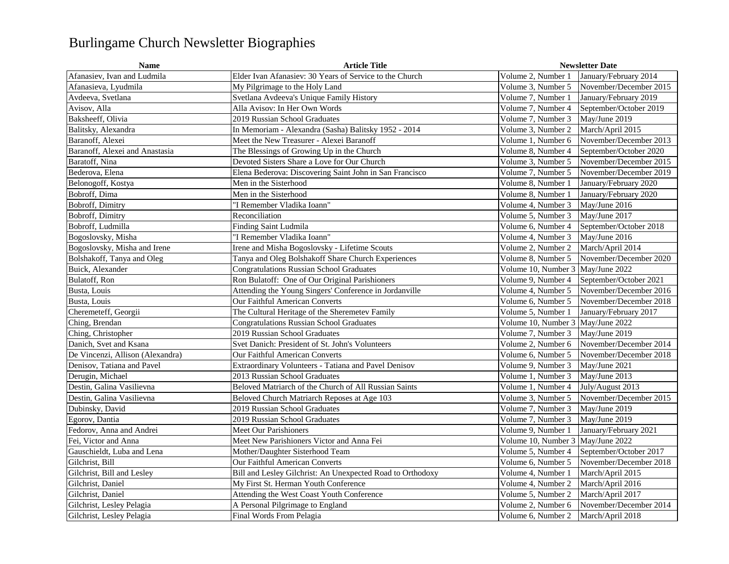## Burlingame Church Newsletter Biographies

| <b>Name</b>                      | <b>Article Title</b>                                       | <b>Newsletter Date</b>                       |
|----------------------------------|------------------------------------------------------------|----------------------------------------------|
| Afanasiev, Ivan and Ludmila      | Elder Ivan Afanasiev: 30 Years of Service to the Church    | Volume 2. Number 1<br>January/February 2014  |
| Afanasieva, Lyudmila             | My Pilgrimage to the Holy Land                             | Volume 3. Number 5<br>November/December 2015 |
| Avdeeva, Svetlana                | Svetlana Avdeeva's Unique Family History                   | Volume 7, Number 1<br>January/February 2019  |
| Avisov, Alla                     | Alla Avisov: In Her Own Words                              | Volume 7, Number 4<br>September/October 2019 |
| Baksheeff, Olivia                | 2019 Russian School Graduates                              | Volume 7, Number 3<br>May/June 2019          |
| Balitsky, Alexandra              | In Memoriam - Alexandra (Sasha) Balitsky 1952 - 2014       | Volume 3, Number 2<br>March/April 2015       |
| Baranoff, Alexei                 | Meet the New Treasurer - Alexei Baranoff                   | Volume 1. Number 6<br>November/December 2013 |
| Baranoff, Alexei and Anastasia   | The Blessings of Growing Up in the Church                  | Volume 8. Number 4<br>September/October 2020 |
| Baratoff, Nina                   | Devoted Sisters Share a Love for Our Church                | Volume 3, Number 5<br>November/December 2015 |
| Bederova, Elena                  | Elena Bederova: Discovering Saint John in San Francisco    | Volume 7, Number 5<br>November/December 2019 |
| Belonogoff, Kostya               | Men in the Sisterhood                                      | Volume 8, Number 1<br>January/February 2020  |
| Bobroff, Dima                    | Men in the Sisterhood                                      | Volume 8, Number 1<br>January/February 2020  |
| Bobroff, Dimitry                 | "I Remember Vladika Ioann"                                 | Volume 4, Number 3<br>May/June 2016          |
| Bobroff, Dimitry                 | Reconciliation                                             | Volume 5, Number 3<br>May/June 2017          |
| Bobroff, Ludmilla                | Finding Saint Ludmila                                      | Volume 6, Number 4<br>September/October 2018 |
| Bogoslovsky, Misha               | 'I Remember Vladika Ioann"                                 | Volume 4, Number 3<br>May/June 2016          |
| Bogoslovsky, Misha and Irene     | Irene and Misha Bogoslovsky - Lifetime Scouts              | March/April 2014<br>Volume 2, Number 2       |
| Bolshakoff, Tanya and Oleg       | Tanya and Oleg Bolshakoff Share Church Experiences         | November/December 2020<br>Volume 8, Number 5 |
| Buick, Alexander                 | <b>Congratulations Russian School Graduates</b>            | Volume 10, Number 3 May/June 2022            |
| Bulatoff, Ron                    | Ron Bulatoff: One of Our Original Parishioners             | September/October 2021<br>Volume 9, Number 4 |
| Busta, Louis                     | Attending the Young Singers' Conference in Jordanville     | Volume 4, Number 5<br>November/December 2016 |
| Busta, Louis                     | <b>Our Faithful American Converts</b>                      | November/December 2018<br>Volume 6, Number 5 |
| Cheremeteff, Georgii             | The Cultural Heritage of the Sheremetev Family             | Volume 5, Number 1<br>January/February 2017  |
| Ching, Brendan                   | <b>Congratulations Russian School Graduates</b>            | Volume 10. Number 3<br>May/June 2022         |
| Ching, Christopher               | 2019 Russian School Graduates                              | Volume 7, Number 3<br>May/June 2019          |
| Danich, Svet and Ksana           | Svet Danich: President of St. John's Volunteers            | November/December 2014<br>Volume 2, Number 6 |
| De Vincenzi, Allison (Alexandra) | Our Faithful American Converts                             | Volume 6, Number 5<br>November/December 2018 |
| Denisov, Tatiana and Pavel       | Extraordinary Volunteers - Tatiana and Pavel Denisov       | Volume 9, Number 3<br>May/June 2021          |
| Derugin, Michael                 | 2013 Russian School Graduates                              | Volume 1. Number 3<br>May/June 2013          |
| Destin, Galina Vasilievna        | Beloved Matriarch of the Church of All Russian Saints      | July/August 2013<br>Volume 1, Number 4       |
| Destin, Galina Vasilievna        | Beloved Church Matriarch Reposes at Age 103                | Volume 3, Number 5<br>November/December 2015 |
| Dubinsky, David                  | 2019 Russian School Graduates                              | Volume 7, Number 3<br>May/June 2019          |
| Egorov, Dantia                   | 2019 Russian School Graduates                              | Volume 7, Number 3<br>May/June 2019          |
| Fedorov, Anna and Andrei         | <b>Meet Our Parishioners</b>                               | Volume 9, Number 1<br>January/February 2021  |
| Fei. Victor and Anna             | Meet New Parishioners Victor and Anna Fei                  | Volume 10, Number 3<br>May/June 2022         |
| Gauschieldt, Luba and Lena       | Mother/Daughter Sisterhood Team                            | September/October 2017<br>Volume 5, Number 4 |
| Gilchrist, Bill                  | Our Faithful American Converts                             | Volume 6, Number 5<br>November/December 2018 |
| Gilchrist, Bill and Lesley       | Bill and Lesley Gilchrist: An Unexpected Road to Orthodoxy | Volume 4, Number 1<br>March/April 2015       |
| Gilchrist, Daniel                | My First St. Herman Youth Conference                       | Volume 4, Number 2<br>March/April 2016       |
| Gilchrist, Daniel                | Attending the West Coast Youth Conference                  | Volume 5, Number 2<br>March/April 2017       |
| Gilchrist, Lesley Pelagia        | A Personal Pilgrimage to England                           | Volume 2, Number 6<br>November/December 2014 |
| Gilchrist, Lesley Pelagia        | Final Words From Pelagia                                   | Volume 6, Number 2<br>March/April 2018       |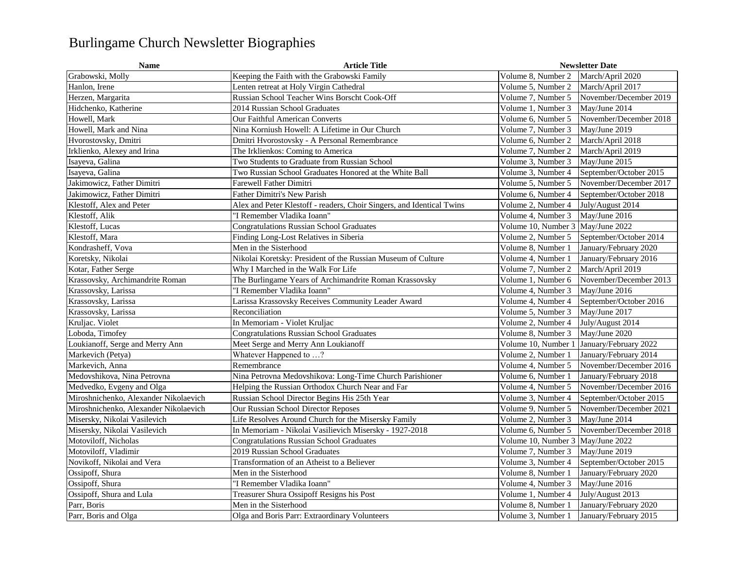## Burlingame Church Newsletter Biographies

| <b>Name</b>                           | <b>Article Title</b>                                                  |                                     | <b>Newsletter Date</b> |  |
|---------------------------------------|-----------------------------------------------------------------------|-------------------------------------|------------------------|--|
| Grabowski, Molly                      | Keeping the Faith with the Grabowski Family                           | Volume 8, Number 2                  | March/April 2020       |  |
| Hanlon, Irene                         | Lenten retreat at Holy Virgin Cathedral                               | Volume 5, Number 2                  | March/April 2017       |  |
| Herzen, Margarita                     | Russian School Teacher Wins Borscht Cook-Off                          | Volume 7, Number 5                  | November/December 2019 |  |
| Hidchenko, Katherine                  | 2014 Russian School Graduates                                         | Volume 1, Number 3                  | May/June 2014          |  |
| Howell, Mark                          | Our Faithful American Converts                                        | Volume 6, Number 5                  | November/December 2018 |  |
| Howell, Mark and Nina                 | Nina Korniush Howell: A Lifetime in Our Church                        | Volume 7, Number 3                  | May/June 2019          |  |
| Hvorostovsky, Dmitri                  | Dmitri Hvorostovsky - A Personal Remembrance                          | Volume 6, Number 2                  | March/April 2018       |  |
| Irklienko, Alexey and Irina           | The Irklienkos: Coming to America                                     | Volume 7, Number 2                  | March/April 2019       |  |
| Isayeva, Galina                       | Two Students to Graduate from Russian School                          | Volume 3, Number 3                  | May/June 2015          |  |
| Isayeva, Galina                       | Two Russian School Graduates Honored at the White Ball                | Volume 3, Number 4                  | September/October 2015 |  |
| Jakimowicz, Father Dimitri            | Farewell Father Dimitri                                               | Volume 5, Number 5                  | November/December 2017 |  |
| Jakimowicz, Father Dimitri            | <b>Father Dimitri's New Parish</b>                                    | Volume 6, Number 4                  | September/October 2018 |  |
| Klestoff, Alex and Peter              | Alex and Peter Klestoff - readers, Choir Singers, and Identical Twins | Volume 2, Number 4                  | July/August 2014       |  |
| Klestoff, Alik                        | "I Remember Vladika Ioann"                                            | Volume 4, Number 3                  | May/June 2016          |  |
| Klestoff, Lucas                       | <b>Congratulations Russian School Graduates</b>                       | Volume 10, Number 3 May/June 2022   |                        |  |
| Klestoff, Mara                        | Finding Long-Lost Relatives in Siberia                                | Volume 2, Number 5                  | September/October 2014 |  |
| Kondrasheff, Vova                     | Men in the Sisterhood                                                 | Volume 8, Number 1                  | January/February 2020  |  |
| Koretsky, Nikolai                     | Nikolai Koretsky: President of the Russian Museum of Culture          | Volume 4, Number 1                  | January/February 2016  |  |
| Kotar, Father Serge                   | Why I Marched in the Walk For Life                                    | Volume 7, Number 2                  | March/April 2019       |  |
| Krassovsky, Archimandrite Roman       | The Burlingame Years of Archimandrite Roman Krassovsky                | Volume 1, Number 6                  | November/December 2013 |  |
| Krassovsky, Larissa                   | "I Remember Vladika Ioann"                                            | Volume 4. Number 3                  | May/June 2016          |  |
| Krassovsky, Larissa                   | Larissa Krassovsky Receives Community Leader Award                    | Volume 4, Number 4                  | September/October 2016 |  |
| Krassovsky, Larissa                   | Reconciliation                                                        | Volume 5, Number 3                  | May/June 2017          |  |
| Kruljac. Violet                       | In Memoriam - Violet Kruljac                                          | Volume 2, Number 4                  | July/August 2014       |  |
| Loboda, Timofey                       | <b>Congratulations Russian School Graduates</b>                       | Volume 8, Number 3                  | May/June 2020          |  |
| Loukianoff, Serge and Merry Ann       | Meet Serge and Merry Ann Loukianoff                                   | Volume 10, Number 1                 | January/February 2022  |  |
| Markevich (Petya)                     | Whatever Happened to ?                                                | Volume 2, Number 1                  | January/February 2014  |  |
| Markevich, Anna                       | Remembrance                                                           | Volume 4. Number 5                  | November/December 2016 |  |
| Medovshikova, Nina Petrovna           | Nina Petrovna Medovshikova: Long-Time Church Parishioner              | Volume 6, Number 1                  | January/February 2018  |  |
| Medvedko, Evgeny and Olga             | Helping the Russian Orthodox Church Near and Far                      | Volume 4, Number 5                  | November/December 2016 |  |
| Miroshnichenko, Alexander Nikolaevich | Russian School Director Begins His 25th Year                          | Volume 3, Number 4                  | September/October 2015 |  |
| Miroshnichenko, Alexander Nikolaevich | Our Russian School Director Reposes                                   | Volume 9, Number 5                  | November/December 2021 |  |
| Misersky, Nikolai Vasilevich          | Life Resolves Around Church for the Misersky Family                   | Volume 2, Number 3                  | May/June 2014          |  |
| Misersky, Nikolai Vasilevich          | In Memoriam - Nikolai Vasilievich Misersky - 1927-2018                | Volume 6, Number 5                  | November/December 2018 |  |
| Motoviloff, Nicholas                  | <b>Congratulations Russian School Graduates</b>                       | Volume 10, Number 3   May/June 2022 |                        |  |
| Motoviloff, Vladimir                  | 2019 Russian School Graduates                                         | Volume 7, Number 3                  | May/June 2019          |  |
| Novikoff, Nikolai and Vera            | Transformation of an Atheist to a Believer                            | Volume 3, Number 4                  | September/October 2015 |  |
| Ossipoff, Shura                       | Men in the Sisterhood                                                 | Volume 8, Number 1                  | January/February 2020  |  |
| Ossipoff, Shura                       | "I Remember Vladika Ioann"                                            | Volume 4, Number 3                  | May/June 2016          |  |
| Ossipoff, Shura and Lula              | <b>Treasurer Shura Ossipoff Resigns his Post</b>                      | Volume 1. Number 4                  | July/August 2013       |  |
| Parr, Boris                           | Men in the Sisterhood                                                 | Volume 8, Number 1                  | January/February 2020  |  |
| Parr, Boris and Olga                  | Olga and Boris Parr: Extraordinary Volunteers                         | Volume 3, Number 1                  | January/February 2015  |  |